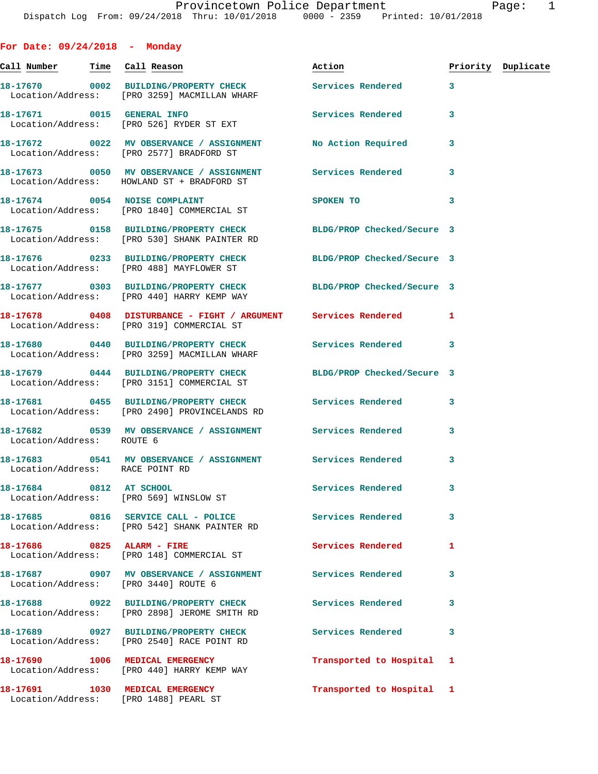**For Date: 09/24/2018 - Monday Call Number Time Call Reason Action Priority Duplicate 18-17670 0002 BUILDING/PROPERTY CHECK Services Rendered 3**  Location/Address: [PRO 3259] MACMILLAN WHARF **18-17671 0015 GENERAL INFO Services Rendered 3**  Location/Address: [PRO 526] RYDER ST EXT **18-17672 0022 MV OBSERVANCE / ASSIGNMENT No Action Required 3**  Location/Address: [PRO 2577] BRADFORD ST **18-17673 0050 MV OBSERVANCE / ASSIGNMENT Services Rendered 3**  Location/Address: HOWLAND ST + BRADFORD ST **18-17674 0054 NOISE COMPLAINT SPOKEN TO 3**  Location/Address: [PRO 1840] COMMERCIAL ST **18-17675 0158 BUILDING/PROPERTY CHECK BLDG/PROP Checked/Secure 3**  Location/Address: [PRO 530] SHANK PAINTER RD **18-17676 0233 BUILDING/PROPERTY CHECK BLDG/PROP Checked/Secure 3**  Location/Address: [PRO 488] MAYFLOWER ST **18-17677 0303 BUILDING/PROPERTY CHECK BLDG/PROP Checked/Secure 3**  Location/Address: [PRO 440] HARRY KEMP WAY **18-17678 0408 DISTURBANCE - FIGHT / ARGUMENT Services Rendered 1**  Location/Address: [PRO 319] COMMERCIAL ST **18-17680 0440 BUILDING/PROPERTY CHECK Services Rendered 3**  Location/Address: [PRO 3259] MACMILLAN WHARF **18-17679 0444 BUILDING/PROPERTY CHECK BLDG/PROP Checked/Secure 3**  Location/Address: [PRO 3151] COMMERCIAL ST **18-17681 0455 BUILDING/PROPERTY CHECK Services Rendered 3**  Location/Address: [PRO 2490] PROVINCELANDS RD **18-17682 0539 MV OBSERVANCE / ASSIGNMENT Services Rendered 3**  Location/Address: ROUTE 6 **18-17683 0541 MV OBSERVANCE / ASSIGNMENT Services Rendered 3**  Location/Address: RACE POINT RD **18-17684 0812 AT SCHOOL Services Rendered 3**  Location/Address: [PRO 569] WINSLOW ST **18-17685 0816 SERVICE CALL - POLICE Services Rendered 3**  Location/Address: [PRO 542] SHANK PAINTER RD **18-17686 0825 ALARM - FIRE Services Rendered 1**  Location/Address: [PRO 148] COMMERCIAL ST **18-17687 0907 MV OBSERVANCE / ASSIGNMENT Services Rendered 3**  Location/Address: [PRO 3440] ROUTE 6 **18-17688 0922 BUILDING/PROPERTY CHECK Services Rendered 3**  Location/Address: [PRO 2898] JEROME SMITH RD **18-17689 0927 BUILDING/PROPERTY CHECK Services Rendered 3**  Location/Address: [PRO 2540] RACE POINT RD

**18-17690 1006 MEDICAL EMERGENCY Transported to Hospital 1**  Location/Address: [PRO 440] HARRY KEMP WAY **18-17691 1030 MEDICAL EMERGENCY Transported to Hospital 1** 

Location/Address: [PRO 1488] PEARL ST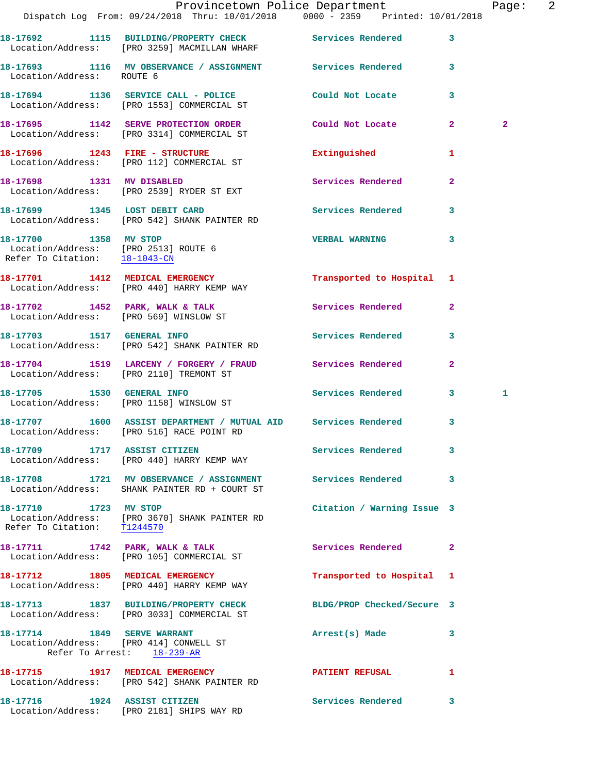|                                                                       |                                                                                                               | Provincetown Police Department |                         | Page: 2      |  |
|-----------------------------------------------------------------------|---------------------------------------------------------------------------------------------------------------|--------------------------------|-------------------------|--------------|--|
|                                                                       | Dispatch Log From: 09/24/2018 Thru: 10/01/2018 0000 - 2359 Printed: 10/01/2018                                |                                |                         |              |  |
|                                                                       | 18-17692 1115 BUILDING/PROPERTY CHECK Services Rendered 3<br>Location/Address: [PRO 3259] MACMILLAN WHARF     |                                |                         |              |  |
| Location/Address: ROUTE 6                                             | 18-17693 1116 MV OBSERVANCE / ASSIGNMENT Services Rendered 3                                                  |                                |                         |              |  |
|                                                                       | 18-17694 1136 SERVICE CALL - POLICE COULD Not Locate 3<br>Location/Address: [PRO 1553] COMMERCIAL ST          |                                |                         |              |  |
|                                                                       | 18-17695 1142 SERVE PROTECTION ORDER Could Not Locate 2<br>Location/Address: [PRO 3314] COMMERCIAL ST         |                                |                         | $\mathbf{2}$ |  |
|                                                                       | 18-17696 1243 FIRE - STRUCTURE<br>Location/Address: [PRO 112] COMMERCIAL ST                                   | Extinguished                   | 1                       |              |  |
|                                                                       | 18-17698 1331 MV DISABLED<br>Location/Address: [PRO 2539] RYDER ST EXT                                        | Services Rendered              | $\overline{2}$          |              |  |
|                                                                       | 18-17699 1345 LOST DEBIT CARD<br>Location/Address: [PRO 542] SHANK PAINTER RD                                 | Services Rendered 3            |                         |              |  |
| Location/Address: [PRO 2513] ROUTE 6<br>Refer To Citation: 18-1043-CM | 18-17700 1358 MV STOP                                                                                         | VERBAL WARNING 3               |                         |              |  |
|                                                                       | 18-17701 1412 MEDICAL EMERGENCY<br>Location/Address: [PRO 440] HARRY KEMP WAY                                 | Transported to Hospital 1      |                         |              |  |
|                                                                       | 18-17702 1452 PARK, WALK & TALK<br>Location/Address: [PRO 569] WINSLOW ST                                     | <b>Services Rendered</b> 2     |                         |              |  |
|                                                                       | 18-17703 1517 GENERAL INFO<br>Location/Address: [PRO 542] SHANK PAINTER RD                                    | <b>Services Rendered</b>       | $\overline{\mathbf{3}}$ |              |  |
|                                                                       | 18-17704 1519 LARCENY / FORGERY / FRAUD Services Rendered Location/Address: [PRO 2110] TREMONT ST             |                                | $\mathbf{2}$            |              |  |
|                                                                       | 18-17705 1530 GENERAL INFO<br>Location/Address: [PRO 1158] WINSLOW ST                                         | Services Rendered 3            |                         | 1            |  |
|                                                                       | 18-17707 1600 ASSIST DEPARTMENT / MUTUAL AID Services Rendered 3<br>Location/Address: [PRO 516] RACE POINT RD |                                |                         |              |  |
|                                                                       | 18-17709 1717 ASSIST CITIZEN<br>Location/Address: [PRO 440] HARRY KEMP WAY                                    | <b>Services Rendered</b> 3     |                         |              |  |
|                                                                       | 18-17708 1721 MV OBSERVANCE / ASSIGNMENT Services Rendered 3<br>Location/Address: SHANK PAINTER RD + COURT ST |                                |                         |              |  |
| 18-17710 1723 MV STOP                                                 | Location/Address: [PRO 3670] SHANK PAINTER RD<br>Refer To Citation: T1244570                                  | Citation / Warning Issue 3     |                         |              |  |
|                                                                       | 18-17711 1742 PARK, WALK & TALK<br>Location/Address: [PRO 105] COMMERCIAL ST                                  | Services Rendered 2            |                         |              |  |
|                                                                       | 18-17712 1805 MEDICAL EMERGENCY<br>Location/Address: [PRO 440] HARRY KEMP WAY                                 | Transported to Hospital 1      |                         |              |  |
|                                                                       | 18-17713 1837 BUILDING/PROPERTY CHECK<br>Location/Address: [PRO 3033] COMMERCIAL ST                           | BLDG/PROP Checked/Secure 3     |                         |              |  |
|                                                                       | 18-17714 1849 SERVE WARRANT<br>Location/Address: [PRO 414] CONWELL ST<br>Refer To Arrest: 18-239-AR           | Arrest(s) Made                 | 3                       |              |  |
|                                                                       | 18-17715 1917 MEDICAL EMERGENCY<br>Location/Address: [PRO 542] SHANK PAINTER RD                               | PATIENT REFUSAL                | $\mathbf{1}$            |              |  |
|                                                                       | 18-17716 1924 ASSIST CITIZEN<br>Location/Address: [PRO 2181] SHIPS WAY RD                                     | Services Rendered 3            |                         |              |  |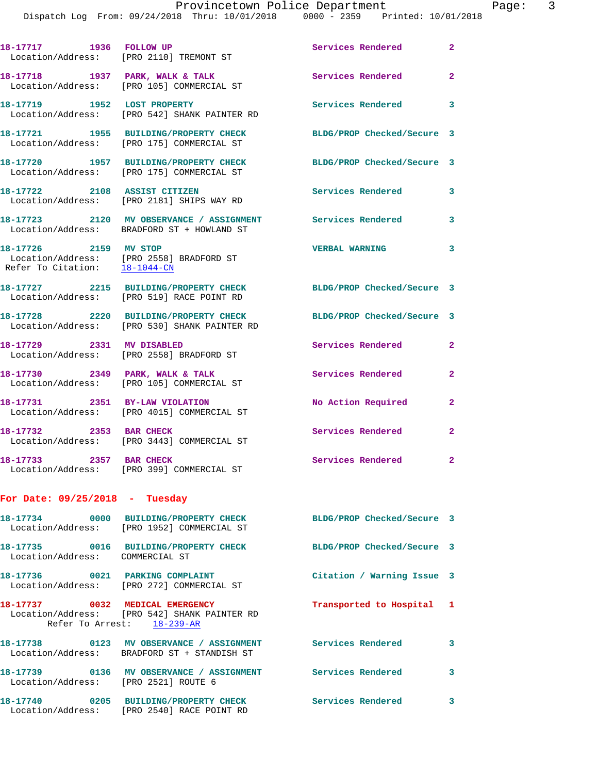Dispatch Log From: 09/24/2018 Thru: 10/01/2018 0000 - 2359 Printed: 10/01/2018

| 18-17717 1936 FOLLOW UP              | Location/Address: [PRO 2110] TREMONT ST                                                                       | Services Rendered 2        |                            |
|--------------------------------------|---------------------------------------------------------------------------------------------------------------|----------------------------|----------------------------|
|                                      | 18-17718 1937 PARK, WALK & TALK<br>Location/Address: [PRO 105] COMMERCIAL ST                                  | Services Rendered 2        |                            |
| 18-17719 1952 LOST PROPERTY          | Location/Address: [PRO 542] SHANK PAINTER RD                                                                  | Services Rendered 3        |                            |
|                                      | 18-17721 1955 BUILDING/PROPERTY CHECK<br>Location/Address: [PRO 175] COMMERCIAL ST                            | BLDG/PROP Checked/Secure 3 |                            |
|                                      | 18-17720 1957 BUILDING/PROPERTY CHECK<br>Location/Address: [PRO 175] COMMERCIAL ST                            | BLDG/PROP Checked/Secure 3 |                            |
|                                      | 18-17722 2108 ASSIST CITIZEN<br>Location/Address: [PRO 2181] SHIPS WAY RD                                     | Services Rendered          | 3                          |
|                                      | 18-17723 2120 MV OBSERVANCE / ASSIGNMENT<br>Location/Address: BRADFORD ST + HOWLAND ST                        | Services Rendered          | 3                          |
| 18-17726 2159 MV STOP                | Location/Address: [PRO 2558] BRADFORD ST<br>Refer To Citation: $\frac{18-1044-CN}{18-1044-CN}$                | <b>VERBAL WARNING</b>      | $\overline{\mathbf{3}}$    |
|                                      | 18-17727 2215 BUILDING/PROPERTY CHECK BLDG/PROP Checked/Secure 3<br>Location/Address: [PRO 519] RACE POINT RD |                            |                            |
|                                      | 18-17728 2220 BUILDING/PROPERTY CHECK<br>Location/Address: [PRO 530] SHANK PAINTER RD                         | BLDG/PROP Checked/Secure 3 |                            |
|                                      | 18-17729 2331 MV DISABLED<br>Location/Address: [PRO 2558] BRADFORD ST                                         | Services Rendered          | $\mathbf{2}$               |
|                                      | 18-17730 2349 PARK, WALK & TALK<br>Location/Address: [PRO 105] COMMERCIAL ST                                  | Services Rendered          | $\mathbf{2}$               |
|                                      | 18-17731 2351 BY-LAW VIOLATION<br>Location/Address: [PRO 4015] COMMERCIAL ST                                  | No Action Required         | $\mathbf{2}$               |
| 18-17732 2353 BAR CHECK              | Location/Address: [PRO 3443] COMMERCIAL ST                                                                    | <b>Services Rendered</b>   | $\mathbf{2}$               |
| 18-17733 2357 BAR CHECK              | Location/Address: [PRO 399] COMMERCIAL ST                                                                     | <b>Services Rendered</b>   | $\overline{\phantom{0}}$ 2 |
| For Date: $09/25/2018$ - Tuesday     |                                                                                                               |                            |                            |
|                                      | 18-17734 0000 BUILDING/PROPERTY CHECK<br>Location/Address: [PRO 1952] COMMERCIAL ST                           | BLDG/PROP Checked/Secure 3 |                            |
| Location/Address: COMMERCIAL ST      | 18-17735 0016 BUILDING/PROPERTY CHECK                                                                         | BLDG/PROP Checked/Secure 3 |                            |
|                                      | 18-17736 0021 PARKING COMPLAINT<br>Location/Address: [PRO 272] COMMERCIAL ST                                  | Citation / Warning Issue 3 |                            |
| 18-17737 0032 MEDICAL EMERGENCY      | Location/Address: [PRO 542] SHANK PAINTER RD<br>Refer To Arrest: 18-239-AR                                    | Transported to Hospital 1  |                            |
|                                      | 18-17738 0123 MV OBSERVANCE / ASSIGNMENT<br>Location/Address: BRADFORD ST + STANDISH ST                       | <b>Services Rendered</b>   | 3                          |
| Location/Address: [PRO 2521] ROUTE 6 | 18-17739      0136   MV OBSERVANCE / ASSIGNMENT      Services Rendered                                        |                            | 3                          |
|                                      | 18-17740 0205 BUILDING/PROPERTY CHECK<br>Location/Address: [PRO 2540] RACE POINT RD                           | <b>Services Rendered</b>   | $\overline{\phantom{a}}$ 3 |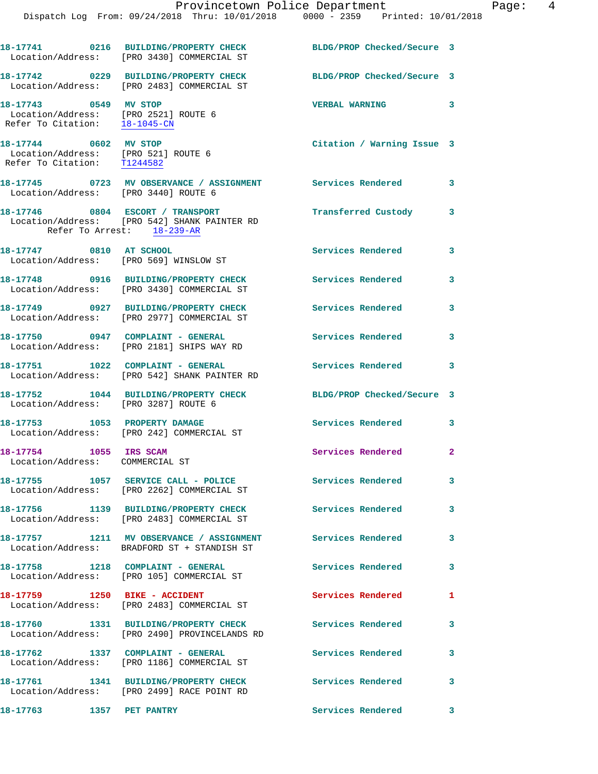**18-17744 0602 MV STOP Citation / Warning Issue 3**  Location/Address: [PRO 521] ROUTE 6 Refer To Citation: T1244582 **18-17745 0723 MV OBSERVANCE / ASSIGNMENT Services Rendered 3**  Location/Address: [PRO 3440] ROUTE 6

**18-17746 0804 ESCORT / TRANSPORT Transferred Custody 3**  Location/Address: [PRO 542] SHANK PAINTER RD Refer To Arrest: 18-239-AR **18-17747 0810 AT SCHOOL Services Rendered 3** 

 Location/Address: [PRO 569] WINSLOW ST **18-17748 0916 BUILDING/PROPERTY CHECK Services Rendered 3**  Location/Address: [PRO 3430] COMMERCIAL ST

**18-17749 0927 BUILDING/PROPERTY CHECK Services Rendered 3**  Location/Address: [PRO 2977] COMMERCIAL ST 18-17750 0947 COMPLAINT - GENERAL **Services Rendered** 3 Location/Address: [PRO 2181] SHIPS WAY RD

**18-17751 1022 COMPLAINT - GENERAL Services Rendered 3**  Location/Address: [PRO 542] SHANK PAINTER RD

**18-17752 1044 BUILDING/PROPERTY CHECK BLDG/PROP Checked/Secure 3**  Location/Address: [PRO 3287] ROUTE 6

Location/Address: [PRO 242] COMMERCIAL ST

Location/Address: COMMERCIAL ST

Location/Address: [PRO 2262] COMMERCIAL ST

Location/Address: [PRO 2483] COMMERCIAL ST

**18-17757 1211 MV OBSERVANCE / ASSIGNMENT Services Rendered 3**  Location/Address: BRADFORD ST + STANDISH ST

**18-17758 1218 COMPLAINT - GENERAL Services Rendered 3**  Location/Address: [PRO 105] COMMERCIAL ST

Location/Address: [PRO 2483] COMMERCIAL ST

Location/Address: [PRO 2490] PROVINCELANDS RD

Location/Address: [PRO 1186] COMMERCIAL ST

Location/Address: [PRO 2499] RACE POINT RD

**18-17763 1357 PET PANTRY Services Rendered 3** 

18-17753 1053 PROPERTY DAMAGE Services Rendered 3

**18-17754 1055 IRS SCAM Services Rendered 2** 

18-17755 1057 SERVICE CALL - POLICE Services Rendered 3

**18-17756 1139 BUILDING/PROPERTY CHECK Services Rendered 3** 

18-17759 **1250 BIKE - ACCIDENT** Services Rendered 1

**18-17760 1331 BUILDING/PROPERTY CHECK Services Rendered 3** 

**18-17762 1337 COMPLAINT - GENERAL Services Rendered 3** 

**18-17761 1341 BUILDING/PROPERTY CHECK Services Rendered 3**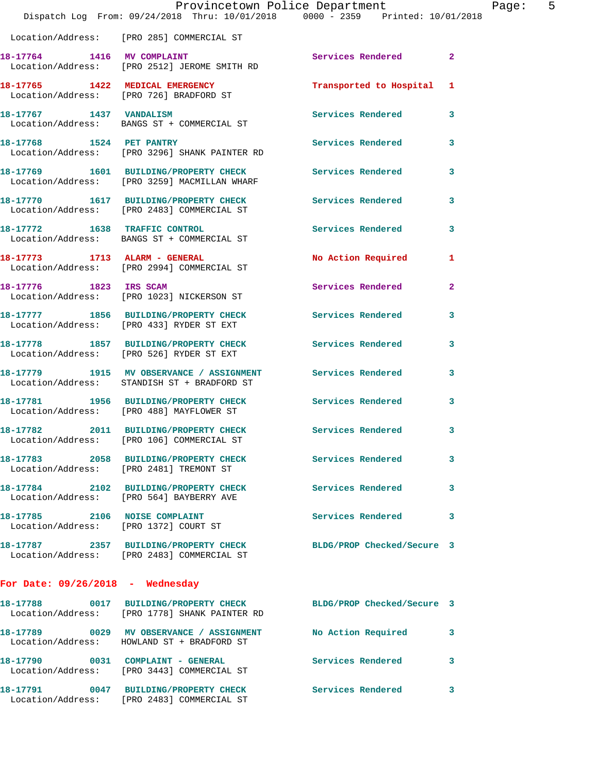|                                    | Provincetown Police Department                                                                            |                            |                |
|------------------------------------|-----------------------------------------------------------------------------------------------------------|----------------------------|----------------|
|                                    | Dispatch Log From: 09/24/2018 Thru: 10/01/2018 0000 - 2359 Printed: 10/01/2018                            |                            |                |
|                                    | Location/Address: [PRO 285] COMMERCIAL ST                                                                 |                            |                |
| 18-17764 1416 MV COMPLAINT         | Location/Address: [PRO 2512] JEROME SMITH RD                                                              | Services Rendered          | $\overline{2}$ |
|                                    | 18-17765 1422 MEDICAL EMERGENCY<br>Location/Address: [PRO 726] BRADFORD ST                                | Transported to Hospital    | 1              |
| 18-17767 1437 VANDALISM            | Location/Address: BANGS ST + COMMERCIAL ST                                                                | <b>Services Rendered</b>   | 3              |
|                                    | 18-17768 1524 PET PANTRY<br>Location/Address: [PRO 3296] SHANK PAINTER RD                                 | <b>Services Rendered</b>   | 3              |
|                                    | 18-17769 1601 BUILDING/PROPERTY CHECK<br>Location/Address: [PRO 3259] MACMILLAN WHARF                     | <b>Services Rendered</b>   | 3              |
|                                    | 18-17770 1617 BUILDING/PROPERTY CHECK<br>Location/Address: [PRO 2483] COMMERCIAL ST                       | Services Rendered          | 3              |
|                                    | 18-17772 1638 TRAFFIC CONTROL<br>Location/Address: BANGS ST + COMMERCIAL ST                               | <b>Services Rendered</b>   | 3              |
|                                    | 18-17773 1713 ALARM - GENERAL<br>Location/Address: [PRO 2994] COMMERCIAL ST                               | No Action Required         | 1              |
| 18-17776 1823 IRS SCAM             | Location/Address: [PRO 1023] NICKERSON ST                                                                 | Services Rendered          | $\mathbf{2}$   |
|                                    | 18-17777 1856 BUILDING/PROPERTY CHECK<br>Location/Address: [PRO 433] RYDER ST EXT                         | Services Rendered          | 3              |
|                                    | 18-17778 1857 BUILDING/PROPERTY CHECK<br>Location/Address: [PRO 526] RYDER ST EXT                         | <b>Services Rendered</b>   | 3              |
|                                    | 18-17779 1915 MV OBSERVANCE / ASSIGNMENT Services Rendered<br>Location/Address: STANDISH ST + BRADFORD ST |                            | 3              |
|                                    | 18-17781 1956 BUILDING/PROPERTY CHECK Services Rendered<br>Location/Address: [PRO 488] MAYFLOWER ST       |                            | 3              |
|                                    | 18-17782 2011 BUILDING/PROPERTY CHECK Services Rendered<br>Location/Address: [PRO 106] COMMERCIAL ST      |                            | $\mathbf{3}$   |
|                                    | 18-17783 2058 BUILDING/PROPERTY CHECK<br>Location/Address: [PRO 2481] TREMONT ST                          | Services Rendered          | 3              |
|                                    | 18-17784 2102 BUILDING/PROPERTY CHECK<br>Location/Address: [PRO 564] BAYBERRY AVE                         | <b>Services Rendered</b>   | 3              |
|                                    | 18-17785 2106 NOISE COMPLAINT<br>Location/Address: [PRO 1372] COURT ST                                    | <b>Services Rendered</b>   | 3              |
|                                    | 18-17787 2357 BUILDING/PROPERTY CHECK<br>Location/Address: [PRO 2483] COMMERCIAL ST                       | BLDG/PROP Checked/Secure 3 |                |
| For Date: $09/26/2018$ - Wednesday |                                                                                                           |                            |                |
|                                    | 18-17788 0017 BUILDING/PROPERTY CHECK<br>Location/Address: [PRO 1778] SHANK PAINTER RD                    | BLDG/PROP Checked/Secure 3 |                |
|                                    | 18-17789 0029 MV OBSERVANCE / ASSIGNMENT No Action Required<br>Location/Address: HOWLAND ST + BRADFORD ST |                            | 3              |
|                                    | 18-17790 0031 COMPLAINT - GENERAL<br>Location/Address: [PRO 3443] COMMERCIAL ST                           | <b>Services Rendered</b>   | 3              |
|                                    | 18-17791 0047 BUILDING/PROPERTY CHECK Services Rendered                                                   |                            | 3              |

Location/Address: [PRO 2483] COMMERCIAL ST

Page:  $5$ <br>  $918$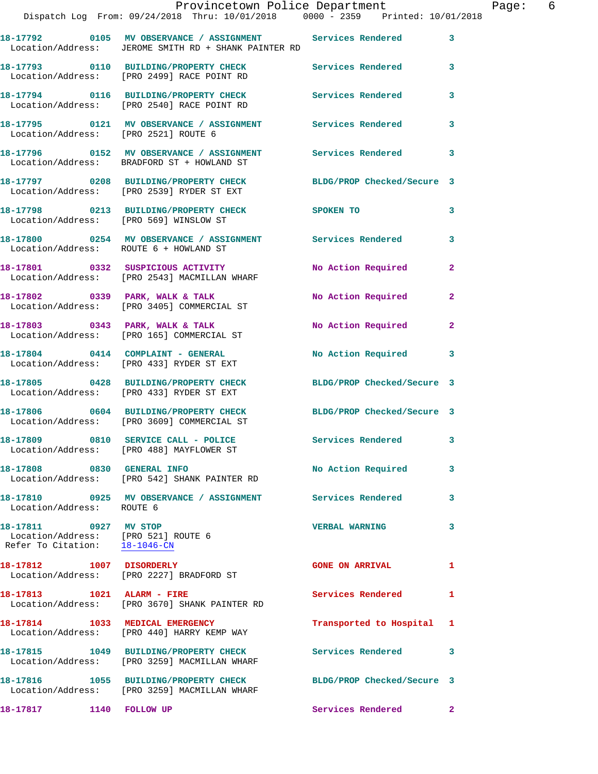|                                                                                               | Provincetown Police Department<br>Dispatch Log From: 09/24/2018 Thru: 10/01/2018 0000 - 2359 Printed: 10/01/2018     |                           | Page: 6      |
|-----------------------------------------------------------------------------------------------|----------------------------------------------------------------------------------------------------------------------|---------------------------|--------------|
|                                                                                               |                                                                                                                      |                           |              |
|                                                                                               | 18-17792 0105 MV OBSERVANCE / ASSIGNMENT Services Rendered 3<br>Location/Address: JEROME SMITH RD + SHANK PAINTER RD |                           |              |
|                                                                                               | 18-17793    0110    BUILDING/PROPERTY CHECK    Services Rendered    3<br>Location/Address: [PRO 2499] RACE POINT RD  |                           |              |
|                                                                                               | 18-17794 0116 BUILDING/PROPERTY CHECK Services Rendered 3<br>Location/Address: [PRO 2540] RACE POINT RD              |                           |              |
| Location/Address: [PRO 2521] ROUTE 6                                                          | 18-17795 0121 MV OBSERVANCE / ASSIGNMENT Services Rendered                                                           |                           | $\mathbf{3}$ |
|                                                                                               | 18-17796 0152 MV OBSERVANCE / ASSIGNMENT Services Rendered 3<br>Location/Address: BRADFORD ST + HOWLAND ST           |                           |              |
|                                                                                               | 18-17797 0208 BUILDING/PROPERTY CHECK BLDG/PROP Checked/Secure 3<br>Location/Address: [PRO 2539] RYDER ST EXT        |                           |              |
|                                                                                               | 18-17798 0213 BUILDING/PROPERTY CHECK SPOKEN TO<br>Location/Address: [PRO 569] WINSLOW ST                            |                           | $\mathbf{3}$ |
|                                                                                               | 18-17800 0254 MV OBSERVANCE / ASSIGNMENT Services Rendered<br>Location/Address: ROUTE 6 + HOWLAND ST                 |                           | $\mathbf{3}$ |
|                                                                                               | 18-17801 0332 SUSPICIOUS ACTIVITY No Action Required 2<br>Location/Address: [PRO 2543] MACMILLAN WHARF               |                           |              |
|                                                                                               | 18-17802 0339 PARK, WALK & TALK<br>Location/Address: [PRO 3405] COMMERCIAL ST                                        | No Action Required        | $\mathbf{2}$ |
|                                                                                               | 18-17803 0343 PARK, WALK & TALK<br>Location/Address: [PRO 165] COMMERCIAL ST                                         | No Action Required 2      |              |
|                                                                                               | 18-17804 0414 COMPLAINT - GENERAL<br>Location/Address: [PRO 433] RYDER ST EXT                                        | No Action Required 3      |              |
|                                                                                               | 18-17805 0428 BUILDING/PROPERTY CHECK BLDG/PROP Checked/Secure 3<br>Location/Address: [PRO 433] RYDER ST EXT         |                           |              |
|                                                                                               | 18-17806 0604 BUILDING/PROPERTY CHECK BLDG/PROP Checked/Secure 3<br>Location/Address: [PRO 3609] COMMERCIAL ST       |                           |              |
|                                                                                               | 18-17809 0810 SERVICE CALL - POLICE<br>Location/Address: [PRO 488] MAYFLOWER ST                                      | Services Rendered 3       |              |
|                                                                                               | 18-17808 0830 GENERAL INFO<br>Location/Address: [PRO 542] SHANK PAINTER RD                                           | No Action Required 3      |              |
| Location/Address: ROUTE 6                                                                     | 18-17810 0925 MV OBSERVANCE / ASSIGNMENT Services Rendered 3                                                         |                           |              |
| 18-17811 0927 MV STOP<br>Location/Address: [PRO 521] ROUTE 6<br>Refer To Citation: 18-1046-CN |                                                                                                                      | <b>VERBAL WARNING</b>     | 3            |
|                                                                                               | 18-17812 1007 DISORDERLY<br>Location/Address: [PRO 2227] BRADFORD ST                                                 | <b>GONE ON ARRIVAL</b>    | $\mathbf{1}$ |
|                                                                                               | 18-17813 1021 ALARM - FIRE<br>Location/Address: [PRO 3670] SHANK PAINTER RD                                          | Services Rendered         | 1            |
|                                                                                               | 18-17814 1033 MEDICAL EMERGENCY<br>Location/Address: [PRO 440] HARRY KEMP WAY                                        | Transported to Hospital 1 |              |
|                                                                                               | 18-17815 1049 BUILDING/PROPERTY CHECK Services Rendered 3<br>Location/Address: [PRO 3259] MACMILLAN WHARF            |                           |              |
|                                                                                               | 18-17816 1055 BUILDING/PROPERTY CHECK BLDG/PROP Checked/Secure 3<br>Location/Address: [PRO 3259] MACMILLAN WHARF     |                           |              |
| 18-17817 1140 FOLLOW UP                                                                       |                                                                                                                      | Services Rendered 2       |              |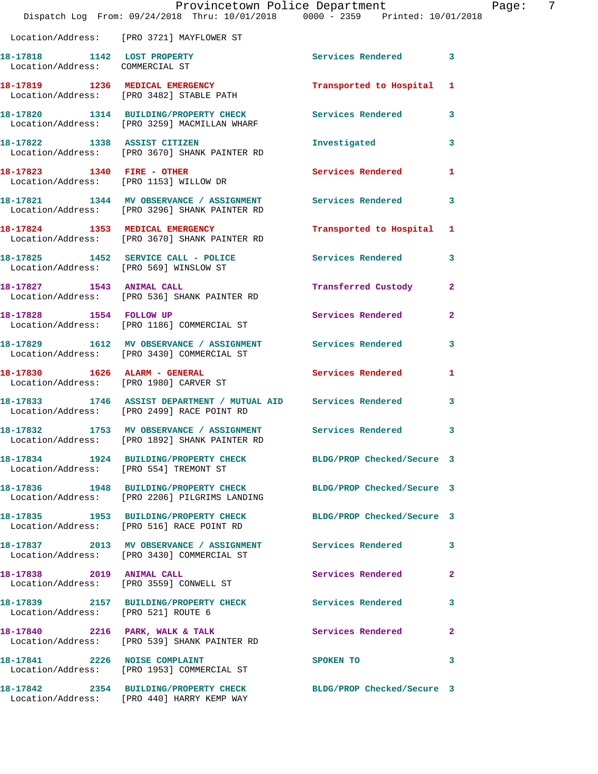|                                                                | Dispatch Log From: 09/24/2018 Thru: 10/01/2018 0000 - 2359 Printed: 10/01/2018                                    | Provincetown Police Department | Page:                   | -7 |
|----------------------------------------------------------------|-------------------------------------------------------------------------------------------------------------------|--------------------------------|-------------------------|----|
|                                                                | Location/Address: [PRO 3721] MAYFLOWER ST                                                                         |                                |                         |    |
| 18-17818 1142 LOST PROPERTY<br>Location/Address: COMMERCIAL ST |                                                                                                                   | Services Rendered 3            |                         |    |
|                                                                | 18-17819 1236 MEDICAL EMERGENCY<br>Location/Address: [PRO 3482] STABLE PATH                                       | Transported to Hospital 1      |                         |    |
|                                                                | 18-17820 1314 BUILDING/PROPERTY CHECK Services Rendered 3<br>Location/Address: [PRO 3259] MACMILLAN WHARF         |                                |                         |    |
|                                                                | 18-17822 1338 ASSIST CITIZEN<br>Location/Address: [PRO 3670] SHANK PAINTER RD                                     | Investigated                   | $\overline{\mathbf{3}}$ |    |
|                                                                | 18-17823 1340 FIRE - OTHER<br>Location/Address: [PRO 1153] WILLOW DR                                              | Services Rendered 1            |                         |    |
|                                                                | 18-17821 1344 MV OBSERVANCE / ASSIGNMENT Services Rendered<br>Location/Address: [PRO 3296] SHANK PAINTER RD       |                                | 3                       |    |
|                                                                | 18-17824 1353 MEDICAL EMERGENCY<br>Location/Address: [PRO 3670] SHANK PAINTER RD                                  | Transported to Hospital 1      |                         |    |
|                                                                | 18-17825 1452 SERVICE CALL - POLICE<br>Location/Address: [PRO 569] WINSLOW ST                                     | Services Rendered              | $\mathbf{3}$            |    |
| 18-17827 1543 ANIMAL CALL                                      | Location/Address: [PRO 536] SHANK PAINTER RD                                                                      | Transferred Custody            | $\mathbf{2}$            |    |
|                                                                | 18-17828 1554 FOLLOW UP<br>Location/Address: [PRO 1186] COMMERCIAL ST                                             | Services Rendered              | $\overline{2}$          |    |
|                                                                | 18-17829 1612 MV OBSERVANCE / ASSIGNMENT Services Rendered<br>Location/Address: [PRO 3430] COMMERCIAL ST          |                                | $\mathbf{3}$            |    |
|                                                                | 18-17830    1626    ALARM - GENERAL<br>Location/Address: [PRO 1980] CARVER ST                                     | Services Rendered 1            |                         |    |
|                                                                | 18-17833 1746 ASSIST DEPARTMENT / MUTUAL AID Services Rendered<br>Location/Address: [PRO 2499] RACE POINT RD      |                                | $\mathbf{3}$            |    |
|                                                                | 18-17832 1753 MV OBSERVANCE / ASSIGNMENT Services Rendered 3<br>Location/Address: [PRO 1892] SHANK PAINTER RD     |                                |                         |    |
|                                                                | 18-17834 1924 BUILDING/PROPERTY CHECK BLDG/PROP Checked/Secure 3<br>Location/Address: [PRO 554] TREMONT ST        |                                |                         |    |
|                                                                | 18-17836 1948 BUILDING/PROPERTY CHECK BLDG/PROP Checked/Secure 3<br>Location/Address: [PRO 2206] PILGRIMS LANDING |                                |                         |    |
|                                                                | 18-17835 1953 BUILDING/PROPERTY CHECK BLDG/PROP Checked/Secure 3<br>Location/Address: [PRO 516] RACE POINT RD     |                                |                         |    |
|                                                                | 18-17837 2013 MV OBSERVANCE / ASSIGNMENT Services Rendered 3<br>Location/Address: [PRO 3430] COMMERCIAL ST        |                                |                         |    |
|                                                                | 18-17838 2019 ANIMAL CALL<br>Location/Address: [PRO 3559] CONWELL ST                                              | Services Rendered              | $\mathbf{2}$            |    |
| Location/Address: [PRO 521] ROUTE 6                            | 18-17839 2157 BUILDING/PROPERTY CHECK Services Rendered                                                           |                                | $\mathbf{3}$            |    |
|                                                                | 18-17840 2216 PARK, WALK & TALK<br>Location/Address: [PRO 539] SHANK PAINTER RD                                   | Services Rendered              | $\mathbf{2}$            |    |
|                                                                | 18-17841 2226 NOISE COMPLAINT<br>Location/Address: [PRO 1953] COMMERCIAL ST                                       | SPOKEN TO                      | $\overline{\mathbf{3}}$ |    |
|                                                                | 18-17842 2354 BUILDING/PROPERTY CHECK<br>Location/Address: [PRO 440] HARRY KEMP WAY                               | BLDG/PROP Checked/Secure 3     |                         |    |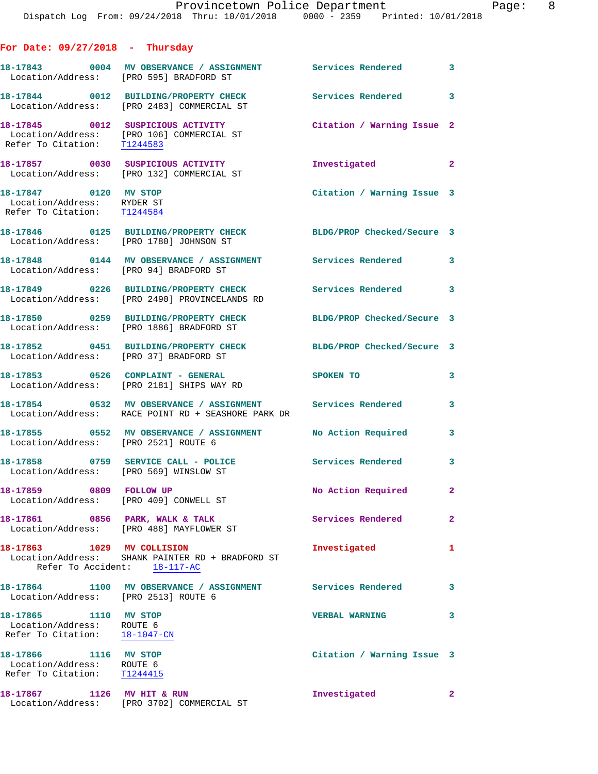**For Date: 09/27/2018 - Thursday**

**18-17843 0004 MV OBSERVANCE / ASSIGNMENT Services Rendered 3**  Location/Address: [PRO 595] BRADFORD ST **18-17844 0012 BUILDING/PROPERTY CHECK Services Rendered 3**  Location/Address: [PRO 2483] COMMERCIAL ST **18-17845 0012 SUSPICIOUS ACTIVITY Citation / Warning Issue 2**  Location/Address: [PRO 106] COMMERCIAL ST Refer To Citation: T1244583 **18-17857 0030 SUSPICIOUS ACTIVITY Investigated 2**  Location/Address: [PRO 132] COMMERCIAL ST **18-17847 0120 MV STOP Citation / Warning Issue 3**  Location/Address: RYDER ST Refer To Citation: T1244584 **18-17846 0125 BUILDING/PROPERTY CHECK BLDG/PROP Checked/Secure 3**  Location/Address: [PRO 1780] JOHNSON ST **18-17848 0144 MV OBSERVANCE / ASSIGNMENT Services Rendered 3**  Location/Address: [PRO 94] BRADFORD ST **18-17849 0226 BUILDING/PROPERTY CHECK Services Rendered 3**  Location/Address: [PRO 2490] PROVINCELANDS RD **18-17850 0259 BUILDING/PROPERTY CHECK BLDG/PROP Checked/Secure 3**  Location/Address: [PRO 1886] BRADFORD ST **18-17852 0451 BUILDING/PROPERTY CHECK BLDG/PROP Checked/Secure 3**  Location/Address: [PRO 37] BRADFORD ST **18-17853 0526 COMPLAINT - GENERAL SPOKEN TO 3**  Location/Address: [PRO 2181] SHIPS WAY RD **18-17854 0532 MV OBSERVANCE / ASSIGNMENT Services Rendered 3**  Location/Address: RACE POINT RD + SEASHORE PARK DR **18-17855 0552 MV OBSERVANCE / ASSIGNMENT No Action Required 3**  Location/Address: [PRO 2521] ROUTE 6 18-17858 0759 SERVICE CALL - POLICE 3<br> **18-17858** 0759 SERVICE CALL - POLICE Location/Address: [PRO 569] WINSLOW ST 18-17859 0809 FOLLOW UP **No Action Required** 2 Location/Address: [PRO 409] CONWELL ST **18-17861 0856 PARK, WALK & TALK Services Rendered 2**  Location/Address: [PRO 488] MAYFLOWER ST **18-17863 1029 MV COLLISION Investigated 1**  Location/Address: SHANK PAINTER RD + BRADFORD ST Refer To Accident: 18-117-AC **18-17864 1100 MV OBSERVANCE / ASSIGNMENT Services Rendered 3**  Location/Address: [PRO 2513] ROUTE 6 **18-17865 1110 MV STOP VERBAL WARNING 3**  Location/Address: ROUTE 6 Refer To Citation: 18-1047-CN **18-17866 1116 MV STOP Citation / Warning Issue 3**  Location/Address: ROUTE 6 Refer To Citation: T1244415 **18-17867 1126 MV HIT & RUN Investigated 2**  Location/Address: [PRO 3702] COMMERCIAL ST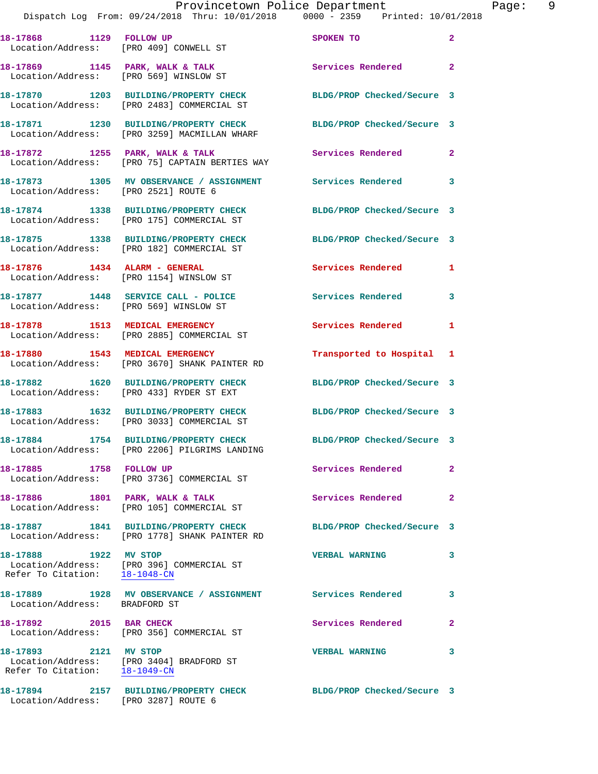|                                                        | Provincetown Police Department<br>Dispatch Log From: 09/24/2018 Thru: 10/01/2018 0000 - 2359 Printed: 10/01/2018 |                            |                |
|--------------------------------------------------------|------------------------------------------------------------------------------------------------------------------|----------------------------|----------------|
|                                                        | 18-17868 1129 FOLLOW UP<br>Location/Address: [PRO 409] CONWELL ST                                                | SPOKEN TO                  | $\overline{a}$ |
| Location/Address: [PRO 569] WINSLOW ST                 | 18-17869 1145 PARK, WALK & TALK                                                                                  | Services Rendered          | $\mathbf{2}$   |
|                                                        | 18-17870 1203 BUILDING/PROPERTY CHECK<br>Location/Address: [PRO 2483] COMMERCIAL ST                              | BLDG/PROP Checked/Secure 3 |                |
|                                                        | 18-17871 1230 BUILDING/PROPERTY CHECK<br>Location/Address: [PRO 3259] MACMILLAN WHARF                            | BLDG/PROP Checked/Secure 3 |                |
|                                                        | 18-17872 1255 PARK, WALK & TALK<br>Location/Address: [PRO 75] CAPTAIN BERTIES WAY                                | Services Rendered          | $\overline{a}$ |
| Location/Address: [PRO 2521] ROUTE 6                   | 18-17873 1305 MV OBSERVANCE / ASSIGNMENT Services Rendered                                                       |                            | 3              |
|                                                        | 18-17874 1338 BUILDING/PROPERTY CHECK BLDG/PROP Checked/Secure 3<br>Location/Address: [PRO 175] COMMERCIAL ST    |                            |                |
|                                                        | 18-17875 1338 BUILDING/PROPERTY CHECK<br>Location/Address: [PRO 182] COMMERCIAL ST                               | BLDG/PROP Checked/Secure 3 |                |
| 18-17876 1434 ALARM - GENERAL                          | Location/Address: [PRO 1154] WINSLOW ST                                                                          | Services Rendered          | 1              |
| Location/Address: [PRO 569] WINSLOW ST                 | 18-17877 1448 SERVICE CALL - POLICE                                                                              | <b>Services Rendered</b>   | 3              |
|                                                        | 18-17878 1513 MEDICAL EMERGENCY<br>Location/Address: [PRO 2885] COMMERCIAL ST                                    | Services Rendered          | 1              |
|                                                        | 18-17880 1543 MEDICAL EMERGENCY<br>Location/Address: [PRO 3670] SHANK PAINTER RD                                 | Transported to Hospital    | 1              |
|                                                        | 18-17882 1620 BUILDING/PROPERTY CHECK<br>Location/Address: [PRO 433] RYDER ST EXT                                | BLDG/PROP Checked/Secure 3 |                |
|                                                        | 18-17883 1632 BUILDING/PROPERTY CHECK<br>Location/Address: [PRO 3033] COMMERCIAL ST                              | BLDG/PROP Checked/Secure 3 |                |
|                                                        | 18-17884 1754 BUILDING/PROPERTY CHECK<br>Location/Address: [PRO 2206] PILGRIMS LANDING                           | BLDG/PROP Checked/Secure 3 |                |
| 18-17885 1758 FOLLOW UP                                | Location/Address: [PRO 3736] COMMERCIAL ST                                                                       | Services Rendered          | $\mathbf{2}$   |
| 18-17886 1801 PARK, WALK & TALK                        | Location/Address: [PRO 105] COMMERCIAL ST                                                                        | Services Rendered          | 2              |
|                                                        | 18-17887 1841 BUILDING/PROPERTY CHECK<br>Location/Address: [PRO 1778] SHANK PAINTER RD                           | BLDG/PROP Checked/Secure 3 |                |
| 18-17888 1922 MV STOP                                  | Location/Address: [PRO 396] COMMERCIAL ST<br>Refer To Citation: 18-1048-CN                                       | <b>VERBAL WARNING</b>      | 3              |
| Location/Address: BRADFORD ST                          | 18-17889 1928 MV OBSERVANCE / ASSIGNMENT Services Rendered                                                       |                            | 3              |
| 18-17892 2015 BAR CHECK                                | Location/Address: [PRO 356] COMMERCIAL ST                                                                        | Services Rendered          | 2              |
| 18-17893 2121 MV STOP<br>Refer To Citation: 18-1049-CN | Location/Address: [PRO 3404] BRADFORD ST                                                                         | <b>VERBAL WARNING</b>      | 3              |
|                                                        | 18-17894      2157  BUILDING/PROPERTY CHECK        BLDG/PROP Checked/Secure 3                                    |                            |                |

Location/Address: [PRO 3287] ROUTE 6

Page: 9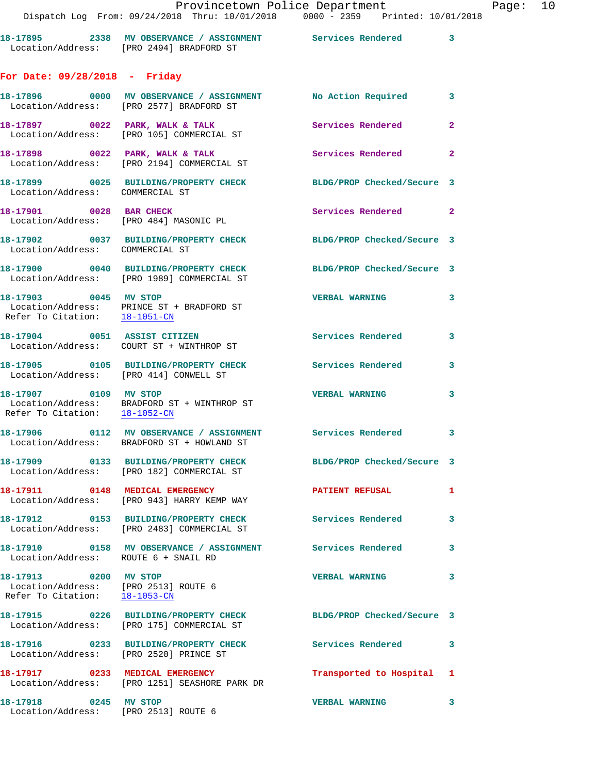**18-17895 2338 MV OBSERVANCE / ASSIGNMENT Services Rendered 3**  Location/Address: [PRO 2494] BRADFORD ST

## **For Date: 09/28/2018 - Friday**

|                                                                                                | 18-17896 0000 MV OBSERVANCE / ASSIGNMENT No Action Required 3                                              |                            |                |
|------------------------------------------------------------------------------------------------|------------------------------------------------------------------------------------------------------------|----------------------------|----------------|
|                                                                                                | Location/Address: [PRO 2577] BRADFORD ST                                                                   |                            |                |
|                                                                                                | 18-17897 0022 PARK, WALK & TALK<br>Location/Address: [PRO 105] COMMERCIAL ST                               | Services Rendered          | $\overline{2}$ |
|                                                                                                | 18-17898 0022 PARK, WALK & TALK<br>Location/Address: [PRO 2194] COMMERCIAL ST                              | Services Rendered 2        |                |
| Location/Address: COMMERCIAL ST                                                                | 18-17899 0025 BUILDING/PROPERTY CHECK                                                                      | BLDG/PROP Checked/Secure 3 |                |
| 18-17901 0028 BAR CHECK                                                                        | Location/Address: [PRO 484] MASONIC PL                                                                     | Services Rendered 2        |                |
| Location/Address: COMMERCIAL ST                                                                | 18-17902 0037 BUILDING/PROPERTY CHECK                                                                      | BLDG/PROP Checked/Secure 3 |                |
|                                                                                                | 18-17900 0040 BUILDING/PROPERTY CHECK<br>Location/Address: [PRO 1989] COMMERCIAL ST                        | BLDG/PROP Checked/Secure 3 |                |
| 18-17903 0045 MV STOP<br>Refer To Citation: 18-1051-CN                                         | Location/Address: PRINCE ST + BRADFORD ST                                                                  | <b>VERBAL WARNING</b>      | 3              |
|                                                                                                | 18-17904 0051 ASSIST CITIZEN<br>Location/Address: COURT ST + WINTHROP ST                                   | Services Rendered 3        |                |
| Location/Address: [PRO 414] CONWELL ST                                                         | 18-17905 0105 BUILDING/PROPERTY CHECK                                                                      | Services Rendered          | $\mathbf{3}$   |
| 18-17907 0109 MV STOP                                                                          | Location/Address: BRADFORD ST + WINTHROP ST<br>Refer To Citation: $\frac{18-1052-CN}{\ }$                  | <b>VERBAL WARNING</b>      | 3              |
|                                                                                                | 18-17906 0112 MV OBSERVANCE / ASSIGNMENT Services Rendered 3<br>Location/Address: BRADFORD ST + HOWLAND ST |                            |                |
|                                                                                                | 18-17909 0133 BUILDING/PROPERTY CHECK<br>Location/Address: [PRO 182] COMMERCIAL ST                         | BLDG/PROP Checked/Secure 3 |                |
|                                                                                                | 18-17911 0148 MEDICAL EMERGENCY<br>Location/Address: [PRO 943] HARRY KEMP WAY                              | <b>PATIENT REFUSAL</b>     | 1              |
|                                                                                                | 18-17912 0153 BUILDING/PROPERTY CHECK Services Rendered 3<br>Location/Address: [PRO 2483] COMMERCIAL ST    |                            |                |
| Location/Address: ROUTE 6 + SNAIL RD                                                           | 18-17910      0158   MV OBSERVANCE / ASSIGNMENT       Services Rendered                                    |                            | 3              |
| 18-17913 0200 MV STOP<br>Location/Address: [PRO 2513] ROUTE 6<br>Refer To Citation: 18-1053-CN |                                                                                                            | <b>VERBAL WARNING</b>      | 3              |
|                                                                                                | 18-17915 0226 BUILDING/PROPERTY CHECK<br>Location/Address: [PRO 175] COMMERCIAL ST                         | BLDG/PROP Checked/Secure 3 |                |
| Location/Address: [PRO 2520] PRINCE ST                                                         | 18-17916 0233 BUILDING/PROPERTY CHECK                                                                      | <b>Services Rendered</b>   | 3              |
| 18-17917 0233 MEDICAL EMERGENCY                                                                | Location/Address: [PRO 1251] SEASHORE PARK DR                                                              | Transported to Hospital    | $\mathbf{1}$   |
| 18-17918 0245 MV STOP<br>Location/Address: [PRO 2513] ROUTE 6                                  |                                                                                                            | <b>VERBAL WARNING</b>      | 3              |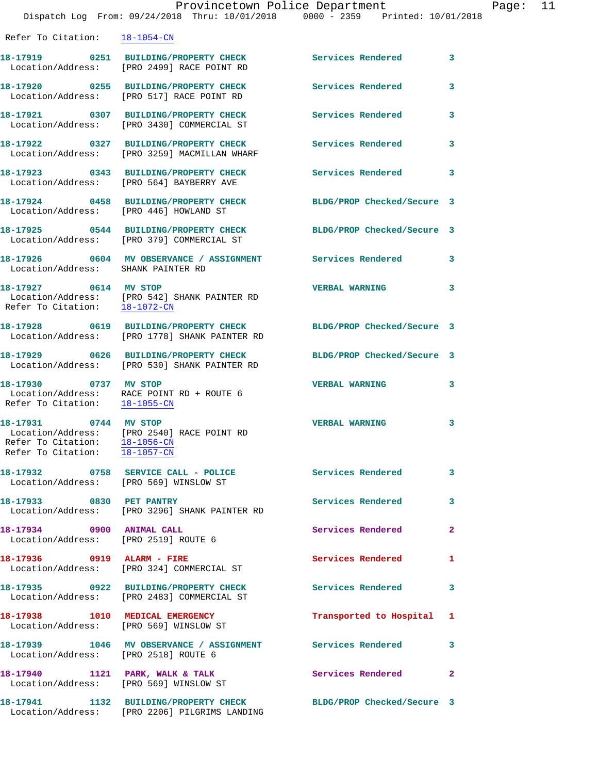| Refer To Citation: 18-1054-CN                                     |                                                                                        |                            |              |
|-------------------------------------------------------------------|----------------------------------------------------------------------------------------|----------------------------|--------------|
|                                                                   | Location/Address: [PRO 2499] RACE POINT RD                                             | Services Rendered          | 3            |
| Location/Address:                                                 | 18-17920 0255 BUILDING/PROPERTY CHECK<br>[PRO 517] RACE POINT RD                       | Services Rendered          | 3            |
| Location/Address:                                                 | 18-17921 0307 BUILDING/PROPERTY CHECK<br>[PRO 3430] COMMERCIAL ST                      | Services Rendered          | 3            |
| Location/Address:                                                 | 18-17922 0327 BUILDING/PROPERTY CHECK<br>[PRO 3259] MACMILLAN WHARF                    | Services Rendered          | 3            |
|                                                                   | 18-17923 0343 BUILDING/PROPERTY CHECK<br>Location/Address: [PRO 564] BAYBERRY AVE      | Services Rendered          | 3            |
| Location/Address: [PRO 446] HOWLAND ST                            | 18-17924 0458 BUILDING/PROPERTY CHECK                                                  | BLDG/PROP Checked/Secure 3 |              |
|                                                                   | 18-17925 0544 BUILDING/PROPERTY CHECK<br>Location/Address: [PRO 379] COMMERCIAL ST     | BLDG/PROP Checked/Secure 3 |              |
| Location/Address: SHANK PAINTER RD                                | 18-17926 0604 MV OBSERVANCE / ASSIGNMENT Services Rendered                             |                            | 3            |
| 18-17927 0614 MV STOP<br>Refer To Citation: 18-1072-CN            | Location/Address: [PRO 542] SHANK PAINTER RD                                           | <b>VERBAL WARNING</b>      | 3            |
| Location/Address:                                                 | [PRO 1778] SHANK PAINTER RD                                                            | BLDG/PROP Checked/Secure 3 |              |
| Location/Address:                                                 | 18-17929 0626 BUILDING/PROPERTY CHECK<br>[PRO 530] SHANK PAINTER RD                    | BLDG/PROP Checked/Secure 3 |              |
| 18-17930 0737 MV STOP<br>Refer To Citation: 18-1055-CN            | Location/Address: RACE POINT RD + ROUTE 6                                              | <b>VERBAL WARNING</b>      | 3            |
| 18-17931 0744 MV STOP<br>Refer To Citation: 18-1057-CN            | Location/Address: [PRO 2540] RACE POINT RD<br>Refer To Citation: 18-1056-CN            | <b>VERBAL WARNING</b>      | 3            |
|                                                                   | Location/Address: [PRO 569] WINSLOW ST                                                 |                            |              |
| 18-17933 0830 PET PANTRY                                          | Location/Address: [PRO 3296] SHANK PAINTER RD                                          | <b>Services Rendered</b>   | $\sim$ 3     |
| 18-17934 0900 ANIMAL CALL<br>Location/Address: [PRO 2519] ROUTE 6 |                                                                                        | Services Rendered 2        |              |
| 18-17936 0919 ALARM - FIRE                                        | Location/Address: [PRO 324] COMMERCIAL ST                                              | Services Rendered          | 1            |
|                                                                   | 18-17935 0922 BUILDING/PROPERTY CHECK<br>Location/Address: [PRO 2483] COMMERCIAL ST    | Services Rendered          | 3            |
| Location/Address: [PRO 569] WINSLOW ST                            | 18-17938 1010 MEDICAL EMERGENCY                                                        | Transported to Hospital 1  |              |
| Location/Address: [PRO 2518] ROUTE 6                              | 18-17939 1046 MV OBSERVANCE / ASSIGNMENT Services Rendered 3                           |                            |              |
| Location/Address: [PRO 569] WINSLOW ST                            | 18-17940 1121 PARK, WALK & TALK                                                        | <b>Services Rendered</b>   | $\mathbf{2}$ |
|                                                                   | 18-17941 1132 BUILDING/PROPERTY CHECK<br>Location/Address: [PRO 2206] PILGRIMS LANDING | BLDG/PROP Checked/Secure 3 |              |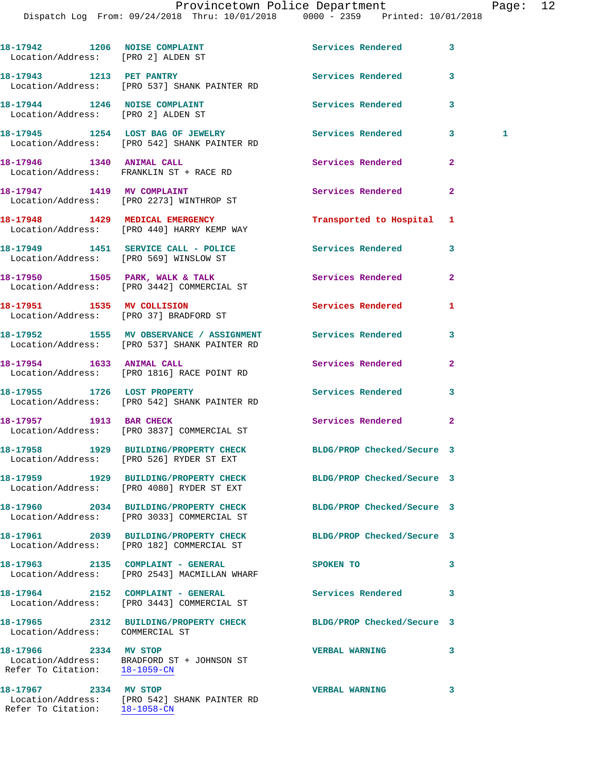Dispatch Log From: 09/24/2018 Thru: 10/01/2018 0000 - 2359 Printed: 10/01/2018 18-17942 1206 NOISE COMPLAINT **18-17942** 1206 3 Location/Address: [PRO 2] ALDEN ST **18-17943 1213 PET PANTRY Services Rendered 3**  Location/Address: [PRO 537] SHANK PAINTER RD **18-17944 1246 NOISE COMPLAINT Services Rendered 3**  Location/Address: [PRO 2] ALDEN ST **18-17945 1254 LOST BAG OF JEWELRY Services Rendered 3 1**  Location/Address: [PRO 542] SHANK PAINTER RD **18-17946 1340 ANIMAL CALL Services Rendered 2**  Location/Address: FRANKLIN ST + RACE RD 18-17947 1419 MV COMPLAINT **18-17947** Services Rendered 2 Location/Address: [PRO 2273] WINTHROP ST **18-17948 1429 MEDICAL EMERGENCY Transported to Hospital 1**  Location/Address: [PRO 440] HARRY KEMP WAY **18-17949 1451 SERVICE CALL - POLICE Services Rendered 3**  Location/Address: [PRO 569] WINSLOW ST 18-17950 1505 PARK, WALK & TALK **Services Rendered** 2 Location/Address: [PRO 3442] COMMERCIAL ST **18-17951 1535 MV COLLISION Services Rendered 1**  Location/Address: [PRO 37] BRADFORD ST **18-17952 1555 MV OBSERVANCE / ASSIGNMENT Services Rendered 3**  Location/Address: [PRO 537] SHANK PAINTER RD **18-17954 1633 ANIMAL CALL Services Rendered 2**  Location/Address: [PRO 1816] RACE POINT RD 18-17955 1726 LOST PROPERTY **18-17955** 1726 Services Rendered 3 Location/Address: [PRO 542] SHANK PAINTER RD **18-17957 1913 BAR CHECK Services Rendered 2**  Location/Address: [PRO 3837] COMMERCIAL ST **18-17958 1929 BUILDING/PROPERTY CHECK BLDG/PROP Checked/Secure 3**  Location/Address: [PRO 526] RYDER ST EXT **18-17959 1929 BUILDING/PROPERTY CHECK BLDG/PROP Checked/Secure 3**  Location/Address: [PRO 4080] RYDER ST EXT **18-17960 2034 BUILDING/PROPERTY CHECK BLDG/PROP Checked/Secure 3**  Location/Address: [PRO 3033] COMMERCIAL ST **18-17961 2039 BUILDING/PROPERTY CHECK BLDG/PROP Checked/Secure 3**  Location/Address: [PRO 182] COMMERCIAL ST **18-17963 2135 COMPLAINT - GENERAL SPOKEN TO 3**  Location/Address: [PRO 2543] MACMILLAN WHARF **18-17964 2152 COMPLAINT - GENERAL Services Rendered 3**  Location/Address: [PRO 3443] COMMERCIAL ST **18-17965 2312 BUILDING/PROPERTY CHECK BLDG/PROP Checked/Secure 3**  Location/Address: COMMERCIAL ST **18-17966 2334 MV STOP VERBAL WARNING 3**  Location/Address: BRADFORD ST + JOHNSON ST Refer To Citation: 18-1059-CN **18-17967 2334 MV STOP VERBAL WARNING 3**  Location/Address: [PRO 542] SHANK PAINTER RD

Refer To Citation: 18-1058-CN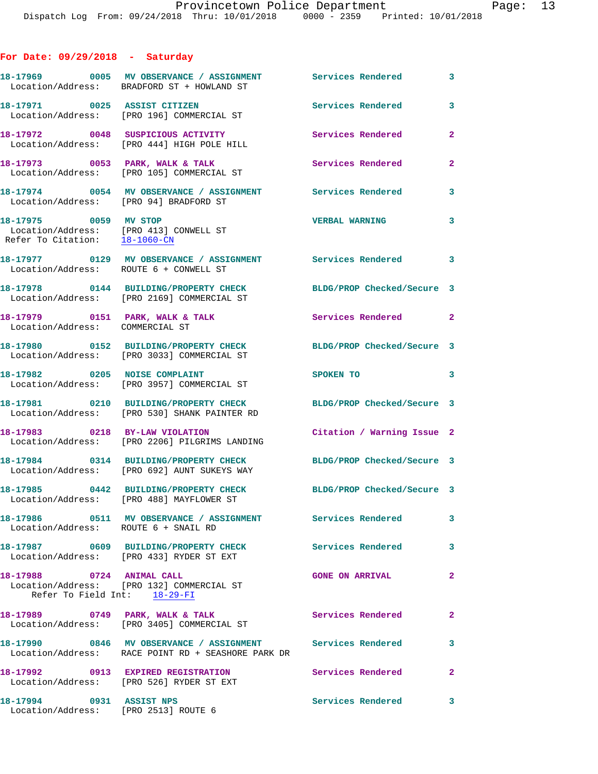## **For Date: 09/29/2018 - Saturday**

|                                                                                                  | 18-17969 0005 MV OBSERVANCE / ASSIGNMENT<br>Location/Address: BRADFORD ST + HOWLAND ST                           | Services Rendered          | $\mathbf{3}$   |
|--------------------------------------------------------------------------------------------------|------------------------------------------------------------------------------------------------------------------|----------------------------|----------------|
| 18-17971 0025 ASSIST CITIZEN                                                                     | Location/Address: [PRO 196] COMMERCIAL ST                                                                        | Services Rendered          | 3              |
|                                                                                                  | 18-17972 0048 SUSPICIOUS ACTIVITY<br>Location/Address: [PRO 444] HIGH POLE HILL                                  | Services Rendered          | $\overline{2}$ |
|                                                                                                  | 18-17973 0053 PARK, WALK & TALK<br>Location/Address: [PRO 105] COMMERCIAL ST                                     | Services Rendered          | $\mathbf{2}$   |
| Location/Address: [PRO 94] BRADFORD ST                                                           | 18-17974 0054 MV OBSERVANCE / ASSIGNMENT Services Rendered                                                       |                            | 3              |
| 18-17975 0059 MV STOP<br>Location/Address: [PRO 413] CONWELL ST<br>Refer To Citation: 18-1060-CN |                                                                                                                  | <b>VERBAL WARNING</b>      | 3              |
| Location/Address: ROUTE 6 + CONWELL ST                                                           | 18-17977 0129 MV OBSERVANCE / ASSIGNMENT Services Rendered 3                                                     |                            |                |
|                                                                                                  | 18-17978 0144 BUILDING/PROPERTY CHECK<br>Location/Address: [PRO 2169] COMMERCIAL ST                              | BLDG/PROP Checked/Secure 3 |                |
| Location/Address: COMMERCIAL ST                                                                  | 18-17979 0151 PARK, WALK & TALK                                                                                  | Services Rendered 2        |                |
|                                                                                                  | 18-17980 0152 BUILDING/PROPERTY CHECK<br>Location/Address: [PRO 3033] COMMERCIAL ST                              | BLDG/PROP Checked/Secure 3 |                |
|                                                                                                  | 18-17982 0205 NOISE COMPLAINT<br>Location/Address: [PRO 3957] COMMERCIAL ST                                      | SPOKEN TO                  | 3              |
|                                                                                                  | 18-17981 0210 BUILDING/PROPERTY CHECK<br>Location/Address: [PRO 530] SHANK PAINTER RD                            | BLDG/PROP Checked/Secure 3 |                |
|                                                                                                  | 18-17983 0218 BY-LAW VIOLATION<br>Location/Address: [PRO 2206] PILGRIMS LANDING                                  | Citation / Warning Issue 2 |                |
|                                                                                                  | 18-17984 0314 BUILDING/PROPERTY CHECK<br>Location/Address: [PRO 692] AUNT SUKEYS WAY                             | BLDG/PROP Checked/Secure 3 |                |
|                                                                                                  | 18-17985 0442 BUILDING/PROPERTY CHECK<br>Location/Address: [PRO 488] MAYFLOWER ST                                | BLDG/PROP Checked/Secure 3 |                |
| Location/Address: ROUTE 6 + SNAIL RD                                                             | 18-17986  OS11 MV OBSERVANCE / ASSIGNMENT Services Rendered                                                      |                            | 3              |
|                                                                                                  | 18-17987 0609 BUILDING/PROPERTY CHECK<br>Location/Address: [PRO 433] RYDER ST EXT                                | <b>Services Rendered</b>   | 3              |
| 18-17988 0724 ANIMAL CALL<br>Refer To Field Int: 18-29-FI                                        | Location/Address: [PRO 132] COMMERCIAL ST                                                                        | <b>GONE ON ARRIVAL</b>     | $\overline{2}$ |
|                                                                                                  | 18-17989 0749 PARK, WALK & TALK<br>Location/Address: [PRO 3405] COMMERCIAL ST                                    | <b>Services Rendered</b>   | $\mathbf{2}$   |
|                                                                                                  | 18-17990 0846 MV OBSERVANCE / ASSIGNMENT Services Rendered<br>Location/Address: RACE POINT RD + SEASHORE PARK DR |                            | 3              |
|                                                                                                  | 18-17992 0913 EXPIRED REGISTRATION<br>Location/Address: [PRO 526] RYDER ST EXT                                   | Services Rendered          | $\mathbf{2}$   |
| 18-17994 0931 ASSIST NPS                                                                         | Location/Address: [PRO 2513] ROUTE 6                                                                             | Services Rendered          | 3              |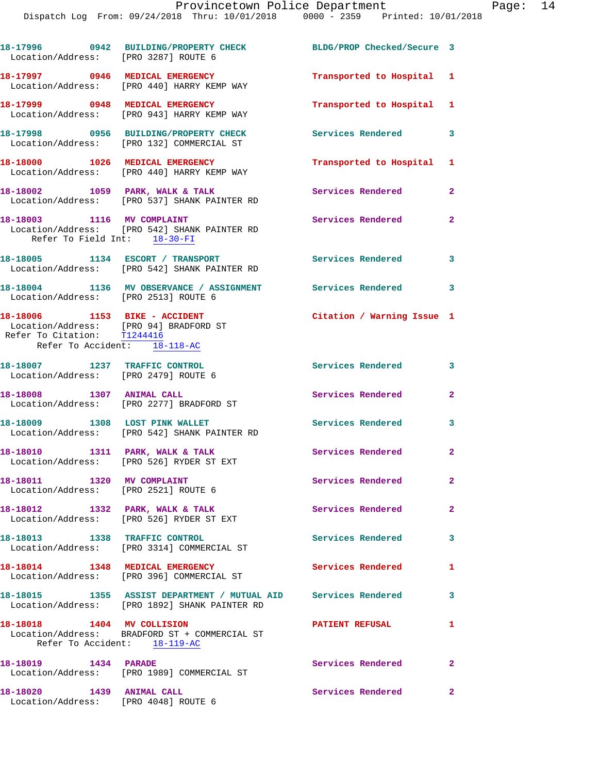| Location/Address: [PRO 3287] ROUTE 6                                                                                                   | 18-17996 0942 BUILDING/PROPERTY CHECK                                                                           | BLDG/PROP Checked/Secure 3 |                         |
|----------------------------------------------------------------------------------------------------------------------------------------|-----------------------------------------------------------------------------------------------------------------|----------------------------|-------------------------|
|                                                                                                                                        | 18-17997 0946 MEDICAL EMERGENCY<br>Location/Address: [PRO 440] HARRY KEMP WAY                                   | Transported to Hospital 1  |                         |
|                                                                                                                                        | 18-17999 0948 MEDICAL EMERGENCY<br>Location/Address: [PRO 943] HARRY KEMP WAY                                   | Transported to Hospital 1  |                         |
|                                                                                                                                        | 18-17998 0956 BUILDING/PROPERTY CHECK<br>Location/Address: [PRO 132] COMMERCIAL ST                              | Services Rendered          | $\overline{\mathbf{3}}$ |
|                                                                                                                                        | 18-18000 1026 MEDICAL EMERGENCY<br>Location/Address: [PRO 440] HARRY KEMP WAY                                   | Transported to Hospital 1  |                         |
|                                                                                                                                        | 18-18002 1059 PARK, WALK & TALK<br>Location/Address: [PRO 537] SHANK PAINTER RD                                 | Services Rendered          | $\overline{2}$          |
| 18-18003 1116 MV COMPLAINT<br>Refer To Field Int: 18-30-FI                                                                             | Location/Address: [PRO 542] SHANK PAINTER RD                                                                    | <b>Services Rendered</b>   | $\mathbf{2}$            |
|                                                                                                                                        | 18-18005 1134 ESCORT / TRANSPORT<br>Location/Address: [PRO 542] SHANK PAINTER RD                                | Services Rendered 3        |                         |
| Location/Address: [PRO 2513] ROUTE 6                                                                                                   | 18-18004 1136 MV OBSERVANCE / ASSIGNMENT Services Rendered 3                                                    |                            |                         |
| 18-18006 1153 BIKE - ACCIDENT<br>Location/Address: [PRO 94] BRADFORD ST<br>Refer To Citation: T1244416<br>Refer To Accident: 18-118-AC |                                                                                                                 | Citation / Warning Issue 1 |                         |
| 18-18007 1237 TRAFFIC CONTROL<br>Location/Address: [PRO 2479] ROUTE 6                                                                  |                                                                                                                 | Services Rendered 3        |                         |
| 18-18008 1307 ANIMAL CALL                                                                                                              | Location/Address: [PRO 2277] BRADFORD ST                                                                        | Services Rendered          | $\mathbf{2}$            |
|                                                                                                                                        | 18-18009 1308 LOST PINK WALLET<br>Location/Address: [PRO 542] SHANK PAINTER RD                                  | Services Rendered          | 3                       |
|                                                                                                                                        | 18-18010 1311 PARK, WALK & TALK<br>Location/Address: [PRO 526] RYDER ST EXT                                     | Services Rendered          | $\overline{2}$          |
| 18-18011 1320 MV COMPLAINT<br>Location/Address: [PRO 2521] ROUTE 6                                                                     |                                                                                                                 | Services Rendered          | 2 <sup>1</sup>          |
| 18-18012 1332 PARK, WALK & TALK                                                                                                        | Location/Address: [PRO 526] RYDER ST EXT                                                                        | <b>Services Rendered</b>   | $\overline{2}$          |
|                                                                                                                                        | 18-18013 1338 TRAFFIC CONTROL<br>Location/Address: [PRO 3314] COMMERCIAL ST                                     | <b>Services Rendered</b>   | 3                       |
| 18-18014 1348 MEDICAL EMERGENCY                                                                                                        | Location/Address: [PRO 396] COMMERCIAL ST                                                                       | Services Rendered          | 1.                      |
|                                                                                                                                        | 18-18015 1355 ASSIST DEPARTMENT / MUTUAL AID Services Rendered<br>Location/Address: [PRO 1892] SHANK PAINTER RD |                            | 3                       |
| 18-18018 1404 MV COLLISION                                                                                                             | Location/Address: BRADFORD ST + COMMERCIAL ST<br>Refer To Accident: 18-119-AC                                   | <b>PATIENT REFUSAL</b>     | $\mathbf{1}$            |
|                                                                                                                                        | Location/Address: [PRO 1989] COMMERCIAL ST                                                                      | Services Rendered          | $\mathbf{2}$            |
| 18-18020 1439 ANIMAL CALL<br>Location/Address: [PRO 4048] ROUTE 6                                                                      |                                                                                                                 | Services Rendered          | $\mathbf{2}$            |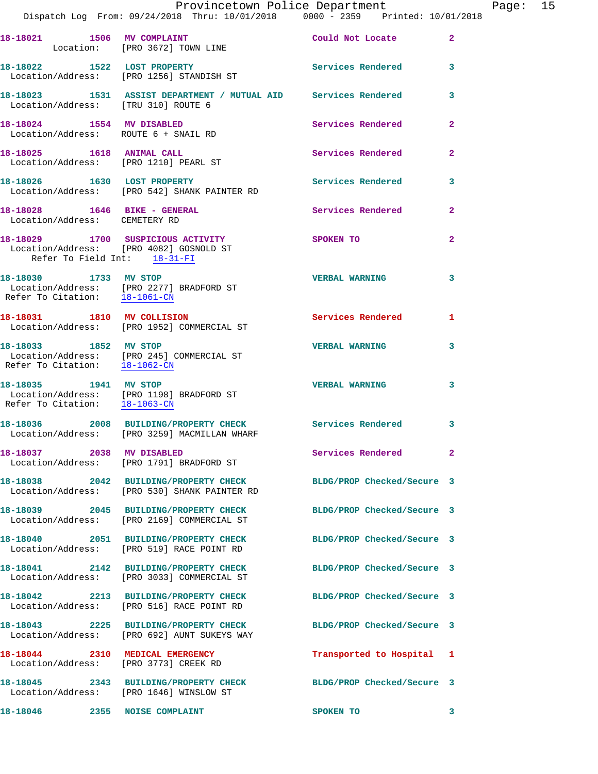|                                      | Provincetown Police Department<br>Dispatch Log From: 09/24/2018 Thru: 10/01/2018 0000 - 2359 Printed: 10/01/2018    |                            |              | Page: 15 |  |
|--------------------------------------|---------------------------------------------------------------------------------------------------------------------|----------------------------|--------------|----------|--|
|                                      |                                                                                                                     |                            |              |          |  |
|                                      | 18-18021 1506 MV COMPLAINT<br>Location: [PRO 3672] TOWN LINE                                                        | Could Not Locate 2         |              |          |  |
|                                      | 18-18022 1522 LOST PROPERTY 18-18022 1652 EXTREMENT SERVICES Rendered 3<br>Location/Address: [PRO 1256] STANDISH ST |                            |              |          |  |
|                                      | 18-18023 1531 ASSIST DEPARTMENT / MUTUAL AID Services Rendered 3<br>Location/Address: [TRU 310] ROUTE 6             |                            |              |          |  |
| Location/Address: ROUTE 6 + SNAIL RD | 18-18024 1554 MV DISABLED                                                                                           | Services Rendered          | $\mathbf{2}$ |          |  |
| 18-18025   1618   ANIMAL CALL        | Location/Address: [PRO 1210] PEARL ST                                                                               | Services Rendered          | $\mathbf{2}$ |          |  |
|                                      | 18-18026 1630 LOST PROPERTY<br>Location/Address: [PRO 542] SHANK PAINTER RD                                         | Services Rendered 3        |              |          |  |
| Location/Address: CEMETERY RD        | 18-18028    1646 BIKE - GENERAL                                                                                     | Services Rendered 2        |              |          |  |
| Refer To Field Int: 18-31-FI         | 18-18029 1700 SUSPICIOUS ACTIVITY SPOKEN TO<br>Location/Address: [PRO 4082] GOSNOLD ST                              |                            | $\mathbf{2}$ |          |  |
|                                      | 18-18030 1733 MV STOP<br>Location/Address: [PRO 2277] BRADFORD ST<br>Refer To Citation: 18-1061-CN                  | <b>VERBAL WARNING</b>      | 3            |          |  |
|                                      | 18-18031 1810 MV COLLISION<br>Location/Address: [PRO 1952] COMMERCIAL ST                                            | Services Rendered 1        |              |          |  |
| Refer To Citation: 18-1062-CN        | 18-18033 1852 MV STOP<br>Location/Address: [PRO 245] COMMERCIAL ST                                                  | <b>VERBAL WARNING</b>      | $\mathbf{3}$ |          |  |
|                                      | 18-18035 1941 MV STOP<br>Location/Address: [PRO 1198] BRADFORD ST<br>Refer To Citation: $\frac{18-1063-CN}{\ }$     | <b>VERBAL WARNING</b>      | $\mathbf{3}$ |          |  |
|                                      | 18-18036  2008 BUILDING/PROPERTY CHECK  Services Rendered  3<br>Location/Address: [PRO 3259] MACMILLAN WHARF        |                            |              |          |  |
| 18-18037 2038 MV DISABLED            | Location/Address: [PRO 1791] BRADFORD ST                                                                            | Services Rendered 2        |              |          |  |
|                                      | 18-18038 2042 BUILDING/PROPERTY CHECK BLDG/PROP Checked/Secure 3<br>Location/Address: [PRO 530] SHANK PAINTER RD    |                            |              |          |  |
|                                      | 18-18039 2045 BUILDING/PROPERTY CHECK<br>Location/Address: [PRO 2169] COMMERCIAL ST                                 | BLDG/PROP Checked/Secure 3 |              |          |  |
|                                      | 18-18040 2051 BUILDING/PROPERTY CHECK BLDG/PROP Checked/Secure 3<br>Location/Address: [PRO 519] RACE POINT RD       |                            |              |          |  |
|                                      | 18-18041 2142 BUILDING/PROPERTY CHECK BLDG/PROP Checked/Secure 3<br>Location/Address: [PRO 3033] COMMERCIAL ST      |                            |              |          |  |
|                                      | 18-18042 2213 BUILDING/PROPERTY CHECK BLDG/PROP Checked/Secure 3<br>Location/Address: [PRO 516] RACE POINT RD       |                            |              |          |  |
|                                      | 18-18043 2225 BUILDING/PROPERTY CHECK BLDG/PROP Checked/Secure 3<br>Location/Address: [PRO 692] AUNT SUKEYS WAY     |                            |              |          |  |
|                                      | 18-18044 2310 MEDICAL EMERGENCY<br>Location/Address: [PRO 3773] CREEK RD                                            | Transported to Hospital 1  |              |          |  |
|                                      | 18-18045 2343 BUILDING/PROPERTY CHECK BLDG/PROP Checked/Secure 3<br>Location/Address: [PRO 1646] WINSLOW ST         |                            |              |          |  |
| 18-18046 2355 NOISE COMPLAINT        |                                                                                                                     | SPOKEN TO                  | - 3          |          |  |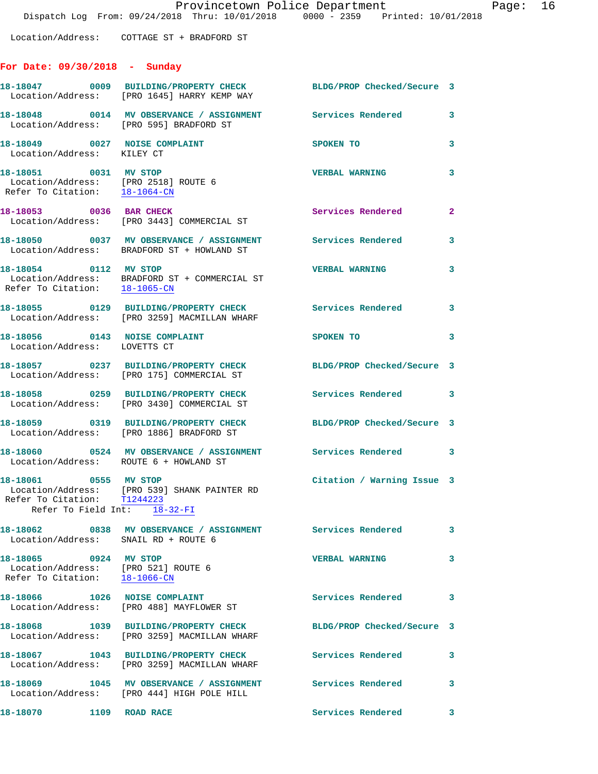Location/Address: COTTAGE ST + BRADFORD ST

## **For Date: 09/30/2018 - Sunday**

|                                                                                                | 18-18047 0009 BUILDING/PROPERTY CHECK<br>Location/Address: [PRO 1645] HARRY KEMP WAY                              | BLDG/PROP Checked/Secure 3 |                         |
|------------------------------------------------------------------------------------------------|-------------------------------------------------------------------------------------------------------------------|----------------------------|-------------------------|
|                                                                                                | 18-18048      0014   MV OBSERVANCE / ASSIGNMENT      Services Rendered<br>Location/Address: [PRO 595] BRADFORD ST |                            | $\mathbf{3}$            |
| 18-18049 0027 NOISE COMPLAINT<br>Location/Address: KILEY CT                                    |                                                                                                                   | SPOKEN TO                  | 3                       |
| 18-18051 0031 MV STOP<br>Location/Address: [PRO 2518] ROUTE 6<br>Refer To Citation: 18-1064-CN |                                                                                                                   | <b>VERBAL WARNING</b>      | 3                       |
|                                                                                                | 18-18053 0036 BAR CHECK<br>Location/Address: [PRO 3443] COMMERCIAL ST                                             | Services Rendered          | $\overline{\mathbf{2}}$ |
|                                                                                                | 18-18050 0037 MV OBSERVANCE / ASSIGNMENT Services Rendered 3<br>Location/Address: BRADFORD ST + HOWLAND ST        |                            |                         |
| 18-18054 0112 MV STOP                                                                          | Location/Address: BRADFORD ST + COMMERCIAL ST<br>Refer To Citation: 18-1065-CN                                    | <b>VERBAL WARNING</b>      | 3                       |
|                                                                                                | 18-18055 0129 BUILDING/PROPERTY CHECK<br>Location/Address: [PRO 3259] MACMILLAN WHARF                             | Services Rendered 3        |                         |
| 18-18056 0143 NOISE COMPLAINT<br>Location/Address: LOVETTS CT                                  |                                                                                                                   | SPOKEN TO                  | 3                       |
|                                                                                                | 18-18057 0237 BUILDING/PROPERTY CHECK<br>Location/Address: [PRO 175] COMMERCIAL ST                                | BLDG/PROP Checked/Secure 3 |                         |
|                                                                                                | 18-18058 0259 BUILDING/PROPERTY CHECK<br>Location/Address: [PRO 3430] COMMERCIAL ST                               | Services Rendered 3        |                         |
|                                                                                                | 18-18059 0319 BUILDING/PROPERTY CHECK<br>Location/Address: [PRO 1886] BRADFORD ST                                 | BLDG/PROP Checked/Secure 3 |                         |
| Location/Address: ROUTE 6 + HOWLAND ST                                                         | 18-18060 0524 MV OBSERVANCE / ASSIGNMENT Services Rendered 3                                                      |                            |                         |
| 18-18061 0555 MV STOP<br>Refer To Field Int: 18-32-FI                                          | Location/Address: [PRO 539] SHANK PAINTER RD<br>Refer To Citation: T1244223                                       | Citation / Warning Issue 3 |                         |
| Location/Address: SNAIL RD + ROUTE 6                                                           | 18-18062 0838 MV OBSERVANCE / ASSIGNMENT Services Rendered                                                        |                            | 3                       |
| 18-18065 0924 MV STOP<br>Location/Address: [PRO 521] ROUTE 6<br>Refer To Citation: 18-1066-CN  |                                                                                                                   | <b>VERBAL WARNING</b>      | 3                       |
| 18-18066                                                                                       | 1026 NOISE COMPLAINT<br>Location/Address: [PRO 488] MAYFLOWER ST                                                  | Services Rendered 3        |                         |
|                                                                                                | 18-18068 1039 BUILDING/PROPERTY CHECK<br>Location/Address: [PRO 3259] MACMILLAN WHARF                             | BLDG/PROP Checked/Secure 3 |                         |
|                                                                                                | 18-18067 1043 BUILDING/PROPERTY CHECK<br>Location/Address: [PRO 3259] MACMILLAN WHARF                             | Services Rendered          | 3                       |
|                                                                                                | 18-18069 1045 MV OBSERVANCE / ASSIGNMENT<br>Location/Address: [PRO 444] HIGH POLE HILL                            | <b>Services Rendered</b>   | 3                       |
| 18-18070 1109 ROAD RACE                                                                        |                                                                                                                   | Services Rendered          | 3                       |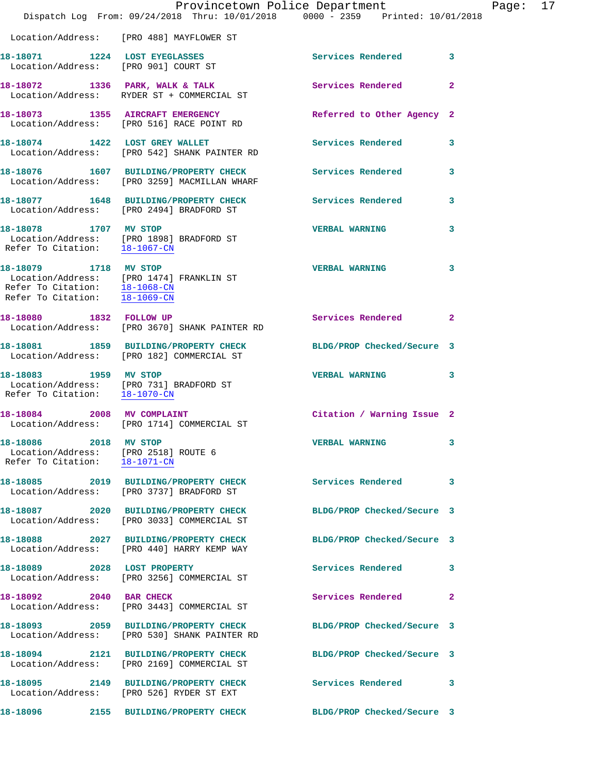|                                                                                                | Provincetown Police Department<br>Dispatch Log From: 09/24/2018 Thru: 10/01/2018 0000 - 2359 Printed: 10/01/2018 |                            |              |
|------------------------------------------------------------------------------------------------|------------------------------------------------------------------------------------------------------------------|----------------------------|--------------|
|                                                                                                | Location/Address: [PRO 488] MAYFLOWER ST                                                                         |                            |              |
| 18-18071 1224 LOST EYEGLASSES<br>Location/Address: [PRO 901] COURT ST                          |                                                                                                                  | Services Rendered          | 3            |
|                                                                                                | 18-18072 1336 PARK, WALK & TALK<br>Location/Address: RYDER ST + COMMERCIAL ST                                    | Services Rendered          | $\mathbf{2}$ |
|                                                                                                | 18-18073 1355 AIRCRAFT EMERGENCY<br>Location/Address: [PRO 516] RACE POINT RD                                    | Referred to Other Agency 2 |              |
| 18-18074 1422 LOST GREY WALLET                                                                 | Location/Address: [PRO 542] SHANK PAINTER RD                                                                     | Services Rendered          | 3            |
|                                                                                                | 18-18076  1607 BUILDING/PROPERTY CHECK<br>Location/Address: [PRO 3259] MACMILLAN WHARF                           | <b>Services Rendered</b>   | 3            |
|                                                                                                | 18-18077 1648 BUILDING/PROPERTY CHECK<br>Location/Address: [PRO 2494] BRADFORD ST                                | <b>Services Rendered</b>   | 3            |
| 18-18078 1707 MV STOP<br>Refer To Citation: 18-1067-CN                                         | Location/Address: [PRO 1898] BRADFORD ST                                                                         | <b>VERBAL WARNING</b>      | 3            |
| 18-18079 1718 MV STOP<br>Refer To Citation: $\overline{18-1069-CN}$                            | Location/Address: [PRO 1474] FRANKLIN ST<br>Refer To Citation: 18-1068-CN                                        | <b>VERBAL WARNING</b>      | 3            |
| 18-18080 1832 FOLLOW UP                                                                        | Location/Address: [PRO 3670] SHANK PAINTER RD                                                                    | Services Rendered          | 2            |
|                                                                                                | 18-18081 1859 BUILDING/PROPERTY CHECK<br>Location/Address: [PRO 182] COMMERCIAL ST                               | BLDG/PROP Checked/Secure 3 |              |
| 18-18083 1959 MV STOP<br>Refer To Citation: 18-1070-CN                                         | Location/Address: [PRO 731] BRADFORD ST                                                                          | <b>VERBAL WARNING</b>      | 3            |
| 18-18084 2008 MV COMPLAINT                                                                     | Location/Address: [PRO 1714] COMMERCIAL ST                                                                       | Citation / Warning Issue 2 |              |
| 18-18086 2018 MV STOP<br>Location/Address: [PRO 2518] ROUTE 6<br>Refer To Citation: 18-1071-CN |                                                                                                                  | <b>VERBAL WARNING</b>      | 3            |
|                                                                                                | 18-18085 2019 BUILDING/PROPERTY CHECK<br>Location/Address: [PRO 3737] BRADFORD ST                                | <b>Services Rendered</b>   | 3            |
|                                                                                                | 18-18087 2020 BUILDING/PROPERTY CHECK<br>Location/Address: [PRO 3033] COMMERCIAL ST                              | BLDG/PROP Checked/Secure 3 |              |
|                                                                                                | 18-18088 2027 BUILDING/PROPERTY CHECK<br>Location/Address: [PRO 440] HARRY KEMP WAY                              | BLDG/PROP Checked/Secure 3 |              |
|                                                                                                | 18-18089 2028 LOST PROPERTY<br>Location/Address: [PRO 3256] COMMERCIAL ST                                        | Services Rendered          | 3            |
| 2040 BAR CHECK<br>18-18092                                                                     | Location/Address: [PRO 3443] COMMERCIAL ST                                                                       | Services Rendered          | 2            |
|                                                                                                | 18-18093 2059 BUILDING/PROPERTY CHECK<br>Location/Address: [PRO 530] SHANK PAINTER RD                            | BLDG/PROP Checked/Secure 3 |              |
|                                                                                                | 18-18094 2121 BUILDING/PROPERTY CHECK<br>Location/Address: [PRO 2169] COMMERCIAL ST                              | BLDG/PROP Checked/Secure 3 |              |
|                                                                                                | 18-18095 2149 BUILDING/PROPERTY CHECK<br>Location/Address: [PRO 526] RYDER ST EXT                                | Services Rendered          | 3            |
| 18-18096                                                                                       | 2155 BUILDING/PROPERTY CHECK                                                                                     | BLDG/PROP Checked/Secure 3 |              |

Page: 17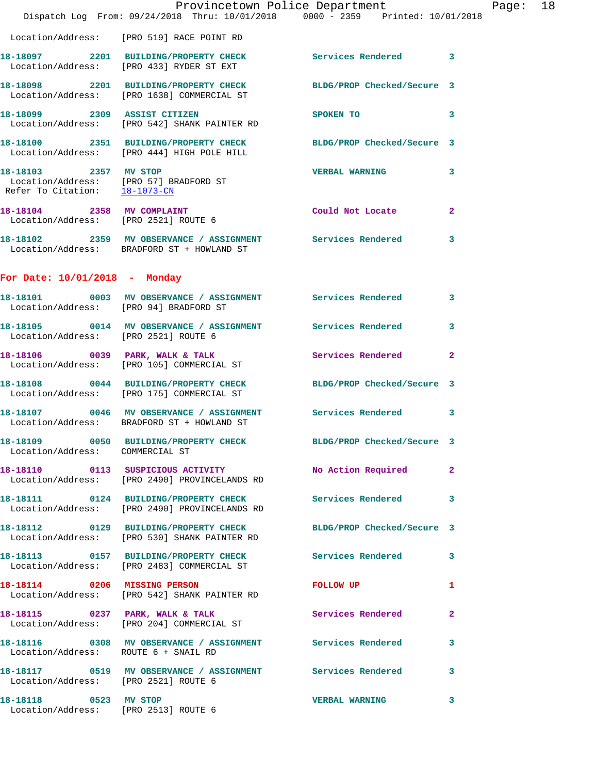|                                      | Dispatch Log From: 09/24/2018 Thru: 10/01/2018 0000 - 2359 Printed: 10/01/2018                                       | Provincetown Police Department | Page: 18                |
|--------------------------------------|----------------------------------------------------------------------------------------------------------------------|--------------------------------|-------------------------|
|                                      | Location/Address: [PRO 519] RACE POINT RD                                                                            |                                |                         |
|                                      | 18-18097 2201 BUILDING/PROPERTY CHECK Services Rendered 3<br>Location/Address: [PRO 433] RYDER ST EXT                |                                |                         |
|                                      | 18-18098 2201 BUILDING/PROPERTY CHECK BLDG/PROP Checked/Secure 3<br>Location/Address: [PRO 1638] COMMERCIAL ST       |                                |                         |
|                                      | 18-18099 2309 ASSIST CITIZEN<br>Location/Address: [PRO 542] SHANK PAINTER RD                                         | <b>SPOKEN TO</b>               | $\overline{\mathbf{3}}$ |
|                                      | 18-18100 2351 BUILDING/PROPERTY CHECK BLDG/PROP Checked/Secure 3<br>Location/Address: [PRO 444] HIGH POLE HILL       |                                |                         |
|                                      | 18-18103 2357 MV STOP<br>Location/Address: [PRO 57] BRADFORD ST<br>Refer To Citation: <u>18-1073-CN</u>              | <b>VERBAL WARNING</b>          | 3                       |
|                                      | 18-18104 2358 MV COMPLAINT<br>Location/Address: [PRO 2521] ROUTE 6                                                   | Could Not Locate               | $\mathbf{2}$            |
|                                      | 18-18102  2359 MV OBSERVANCE / ASSIGNMENT Services Rendered 3<br>Location/Address: BRADFORD ST + HOWLAND ST          |                                |                         |
| For Date: 10/01/2018 - Monday        |                                                                                                                      |                                |                         |
|                                      | 18-18101 0003 MV OBSERVANCE / ASSIGNMENT Services Rendered 3<br>Location/Address: [PRO 94] BRADFORD ST               |                                |                         |
| Location/Address: [PRO 2521] ROUTE 6 | 18-18105 0014 MV OBSERVANCE / ASSIGNMENT Services Rendered                                                           |                                | 3                       |
|                                      | 18-18106 0039 PARK, WALK & TALK 6 Services Rendered 2<br>Location/Address: [PRO 105] COMMERCIAL ST                   |                                |                         |
|                                      | 18-18108 0044 BUILDING/PROPERTY CHECK BLDG/PROP Checked/Secure 3<br>Location/Address: [PRO 175] COMMERCIAL ST        |                                |                         |
|                                      | 18-18107 0046 MV OBSERVANCE / ASSIGNMENT Services Rendered 3<br>Location/Address: BRADFORD ST + HOWLAND ST           |                                |                         |
| Location/Address: COMMERCIAL ST      | 18-18109 0050 BUILDING/PROPERTY CHECK BLDG/PROP Checked/Secure 3                                                     |                                |                         |
|                                      | Location/Address: [PRO 2490] PROVINCELANDS RD                                                                        |                                |                         |
|                                      | 18-18111 0124 BUILDING/PROPERTY CHECK Services Rendered 3<br>Location/Address: [PRO 2490] PROVINCELANDS RD           |                                |                         |
|                                      | 18-18112   0129   BUILDING/PROPERTY CHECK BLDG/PROP Checked/Secure 3<br>Location/Address: [PRO 530] SHANK PAINTER RD |                                |                         |
|                                      | 18-18113 0157 BUILDING/PROPERTY CHECK Services Rendered 3<br>Location/Address: [PRO 2483] COMMERCIAL ST              |                                |                         |
|                                      | 18-18114 0206 MISSING PERSON<br>Location/Address: [PRO 542] SHANK PAINTER RD                                         | FOLLOW UP                      | $\mathbf{1}$            |
|                                      | 18-18115 0237 PARK, WALK & TALK<br>Location/Address: [PRO 204] COMMERCIAL ST                                         | Services Rendered              | $\mathbf{2}$            |
| Location/Address: ROUTE 6 + SNAIL RD | 18-18116   0308 MV OBSERVANCE / ASSIGNMENT   Services Rendered   3                                                   |                                |                         |
| Location/Address: [PRO 2521] ROUTE 6 | 18-18117 0519 MV OBSERVANCE / ASSIGNMENT Services Rendered 3                                                         |                                |                         |
| 18-18118 0523 MV STOP                | Location/Address: [PRO 2513] ROUTE 6                                                                                 | <b>VERBAL WARNING</b>          | $\mathbf{3}$            |